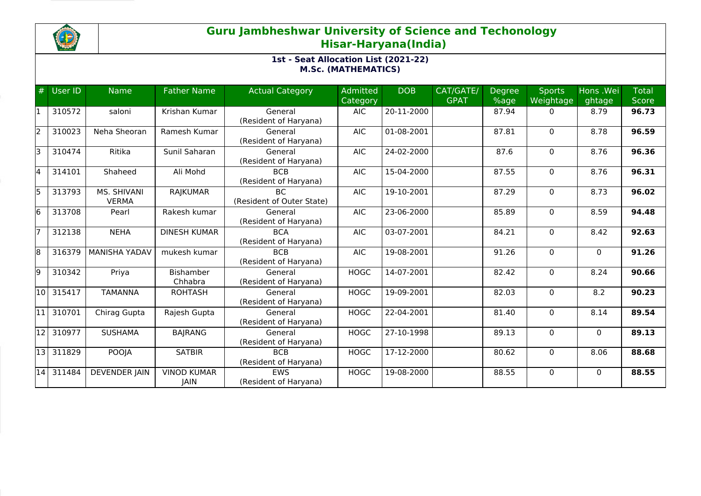

| #     | User ID | <b>Name</b>                 | <b>Father Name</b>         | <b>Actual Category</b>              | Admitted<br>Category | <b>DOB</b> | CAT/GATE/<br><b>GPAT</b> | Degree<br>%age | <b>Sports</b><br>Weightage | Hons .Wei<br>ghtage | <b>Total</b><br><b>Score</b> |
|-------|---------|-----------------------------|----------------------------|-------------------------------------|----------------------|------------|--------------------------|----------------|----------------------------|---------------------|------------------------------|
|       | 310572  | saloni                      | Krishan Kumar              | General<br>(Resident of Haryana)    | <b>AIC</b>           | 20-11-2000 |                          | 87.94          | $\Omega$                   | 8.79                | 96.73                        |
| l2    | 310023  | Neha Sheoran                | Ramesh Kumar               | General<br>(Resident of Haryana)    | <b>AIC</b>           | 01-08-2001 |                          | 87.81          | 0                          | 8.78                | 96.59                        |
| l٦    | 310474  | Ritika                      | Sunil Saharan              | General<br>(Resident of Haryana)    | <b>AIC</b>           | 24-02-2000 |                          | 87.6           | $\mathbf 0$                | 8.76                | 96.36                        |
| l4    | 314101  | Shaheed                     | Ali Mohd                   | <b>BCB</b><br>(Resident of Haryana) | <b>AIC</b>           | 15-04-2000 |                          | 87.55          | 0                          | 8.76                | 96.31                        |
| l5    | 313793  | MS. SHIVANI<br><b>VERMA</b> | <b>RAJKUMAR</b>            | BC.<br>(Resident of Outer State)    | <b>AIC</b>           | 19-10-2001 |                          | 87.29          | $\Omega$                   | 8.73                | 96.02                        |
| l6    | 313708  | Pearl                       | Rakesh kumar               | General<br>(Resident of Haryana)    | <b>AIC</b>           | 23-06-2000 |                          | 85.89          | 0                          | 8.59                | 94.48                        |
|       | 312138  | <b>NEHA</b>                 | <b>DINESH KUMAR</b>        | <b>BCA</b><br>(Resident of Haryana) | <b>AIC</b>           | 03-07-2001 |                          | 84.21          | $\Omega$                   | 8.42                | 92.63                        |
| 18    | 316379  | <b>MANISHA YADAV</b>        | mukesh kumar               | <b>BCB</b><br>(Resident of Haryana) | <b>AIC</b>           | 19-08-2001 |                          | 91.26          | 0                          | $\mathbf{0}$        | 91.26                        |
| l9    | 310342  | Priya                       | Bishamber<br>Chhabra       | General<br>(Resident of Haryana)    | <b>HOGC</b>          | 14-07-2001 |                          | 82.42          | 0                          | 8.24                | 90.66                        |
| l10 l | 315417  | <b>TAMANNA</b>              | <b>ROHTASH</b>             | General<br>(Resident of Haryana)    | <b>HOGC</b>          | 19-09-2001 |                          | 82.03          | $\Omega$                   | 8.2                 | 90.23                        |
| 11    | 310701  | Chirag Gupta                | Rajesh Gupta               | General<br>(Resident of Haryana)    | <b>HOGC</b>          | 22-04-2001 |                          | 81.40          | $\mathbf 0$                | 8.14                | 89.54                        |
| 12    | 310977  | <b>SUSHAMA</b>              | <b>BAJRANG</b>             | General<br>(Resident of Haryana)    | <b>HOGC</b>          | 27-10-1998 |                          | 89.13          | $\Omega$                   | $\Omega$            | 89.13                        |
| l13 l | 311829  | <b>POOJA</b>                | <b>SATBIR</b>              | <b>BCB</b><br>(Resident of Haryana) | <b>HOGC</b>          | 17-12-2000 |                          | 80.62          | 0                          | 8.06                | 88.68                        |
| 14    | 311484  | <b>DEVENDER JAIN</b>        | <b>VINOD KUMAR</b><br>JAIN | EWS<br>(Resident of Haryana)        | <b>HOGC</b>          | 19-08-2000 |                          | 88.55          | 0                          | $\Omega$            | 88.55                        |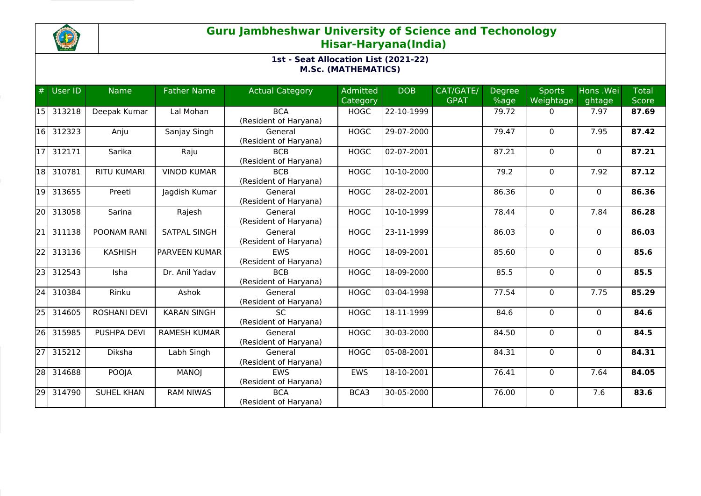

| #               | User ID | <b>Name</b>         | <b>Father Name</b>  | <b>Actual Category</b>              | <b>Admitted</b><br>Category | <b>DOB</b>   | CAT/GATE/<br><b>GPAT</b> | <b>Degree</b><br>%age | <b>Sports</b><br>Weightage | Hons .Wei<br>ghtage | <b>Total</b><br><b>Score</b> |
|-----------------|---------|---------------------|---------------------|-------------------------------------|-----------------------------|--------------|--------------------------|-----------------------|----------------------------|---------------------|------------------------------|
| 15 I            | 313218  | Deepak Kumar        | Lal Mohan           | <b>BCA</b><br>(Resident of Haryana) | <b>HOGC</b>                 | 22-10-1999   |                          | 79.72                 | $\mathbf{0}$               | 7.97                | 87.69                        |
| 16              | 312323  | Anju                | Sanjay Singh        | General<br>(Resident of Haryana)    | <b>HOGC</b>                 | 29-07-2000   |                          | 79.47                 | $\mathbf{0}$               | 7.95                | 87.42                        |
| 17              | 312171  | Sarika              | Raju                | <b>BCB</b><br>(Resident of Haryana) | <b>HOGC</b>                 | 02-07-2001   |                          | 87.21                 | $\mathbf 0$                | $\mathbf{0}$        | 87.21                        |
| 18              | 310781  | <b>RITU KUMARI</b>  | <b>VINOD KUMAR</b>  | <b>BCB</b><br>(Resident of Haryana) | <b>HOGC</b>                 | 10-10-2000   |                          | 79.2                  | 0                          | 7.92                | 87.12                        |
| 19              | 313655  | Preeti              | Jagdish Kumar       | General<br>(Resident of Haryana)    | <b>HOGC</b>                 | 28-02-2001   |                          | 86.36                 | $\mathbf 0$                | $\Omega$            | 86.36                        |
| l20 l           | 313058  | Sarina              | Rajesh              | General<br>(Resident of Haryana)    | <b>HOGC</b>                 | 10-10-1999   |                          | 78.44                 | 0                          | 7.84                | 86.28                        |
| l21             | 311138  | POONAM RANI         | SATPAL SINGH        | General<br>(Resident of Haryana)    | <b>HOGC</b>                 | 23-11-1999   |                          | 86.03                 | $\mathbf 0$                | $\mathbf{0}$        | 86.03                        |
| $\overline{22}$ | 313136  | <b>KASHISH</b>      | PARVEEN KUMAR       | <b>EWS</b><br>(Resident of Haryana) | <b>HOGC</b>                 | $18-09-2001$ |                          | 85.60                 | $\Omega$                   | $\Omega$            | 85.6                         |
| 23 <sub>1</sub> | 312543  | Isha                | Dr. Anil Yadav      | <b>BCB</b><br>(Resident of Haryana) | <b>HOGC</b>                 | 18-09-2000   |                          | 85.5                  | 0                          | $\mathbf{0}$        | 85.5                         |
| 24              | 310384  | Rinku               | Ashok               | General<br>(Resident of Haryana)    | <b>HOGC</b>                 | 03-04-1998   |                          | 77.54                 | 0                          | 7.75                | 85.29                        |
| 25              | 314605  | <b>ROSHANI DEVI</b> | <b>KARAN SINGH</b>  | <b>SC</b><br>(Resident of Haryana)  | <b>HOGC</b>                 | 18-11-1999   |                          | 84.6                  | $\Omega$                   | $\Omega$            | 84.6                         |
| 26              | 315985  | PUSHPA DEVI         | <b>RAMESH KUMAR</b> | General<br>(Resident of Haryana)    | <b>HOGC</b>                 | 30-03-2000   |                          | 84.50                 | $\mathbf 0$                | $\Omega$            | 84.5                         |
| 27 I            | 315212  | Diksha              | Labh Singh          | General<br>(Resident of Haryana)    | <b>HOGC</b>                 | 05-08-2001   |                          | 84.31                 | 0                          | $\mathbf{0}$        | 84.31                        |
| 28              | 314688  | POOJA               | MANOJ               | <b>EWS</b><br>(Resident of Haryana) | EWS                         | 18-10-2001   |                          | 76.41                 | 0                          | 7.64                | 84.05                        |
| 29              | 314790  | <b>SUHEL KHAN</b>   | <b>RAM NIWAS</b>    | <b>BCA</b><br>(Resident of Haryana) | BCA3                        | 30-05-2000   |                          | 76.00                 | 0                          | 7.6                 | 83.6                         |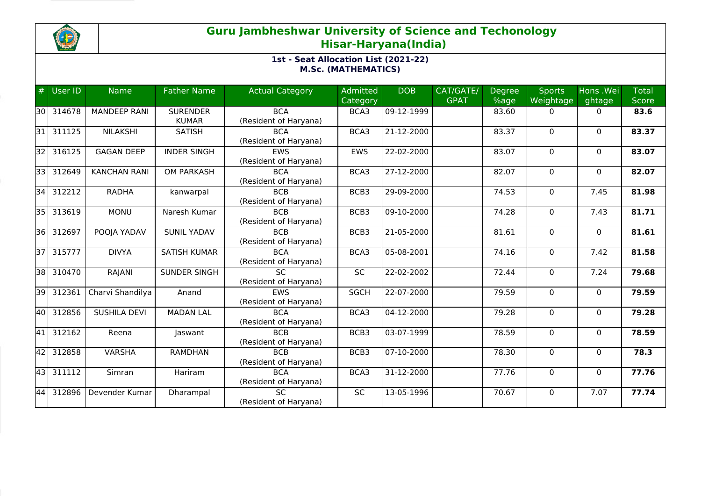

| #               | <b>User ID</b> | <b>Name</b>         | <b>Father Name</b>  | <b>Actual Category</b> | Admitted    | <b>DOB</b> | CAT/GATE/   | <b>Degree</b> | <b>Sports</b> | Hons .Wei    | <b>Total</b> |
|-----------------|----------------|---------------------|---------------------|------------------------|-------------|------------|-------------|---------------|---------------|--------------|--------------|
|                 |                |                     |                     |                        | Category    |            | <b>GPAT</b> | %age          | Weightage     | ghtage       | Score        |
| l30 l           | 314678         | <b>MANDEEP RANI</b> | <b>SURENDER</b>     | <b>BCA</b>             | BCA3        | 09-12-1999 |             | 83.60         | 0             | $\mathbf{0}$ | 83.6         |
|                 |                |                     | <b>KUMAR</b>        | (Resident of Haryana)  |             |            |             |               |               |              |              |
| l31 l           | 311125         | <b>NILAKSHI</b>     | <b>SATISH</b>       | <b>BCA</b>             | BCA3        | 21-12-2000 |             | 83.37         | $\mathbf{0}$  | $\Omega$     | 83.37        |
|                 |                |                     |                     | (Resident of Haryana)  |             |            |             |               |               |              |              |
| 32              | 316125         | <b>GAGAN DEEP</b>   | <b>INDER SINGH</b>  | <b>EWS</b>             | <b>EWS</b>  | 22-02-2000 |             | 83.07         | $\mathbf{0}$  | $\Omega$     | 83.07        |
|                 |                |                     |                     | (Resident of Haryana)  |             |            |             |               |               |              |              |
| 331             | 312649         | <b>KANCHAN RANI</b> | <b>OM PARKASH</b>   | <b>BCA</b>             | BCA3        | 27-12-2000 |             | 82.07         | $\mathbf 0$   | $\mathbf{0}$ | 82.07        |
|                 |                |                     |                     | (Resident of Haryana)  |             |            |             |               |               |              |              |
| 34              | 312212         | <b>RADHA</b>        | kanwarpal           | <b>BCB</b>             | BCB3        | 29-09-2000 |             | 74.53         | 0             | 7.45         | 81.98        |
|                 |                |                     |                     | (Resident of Haryana)  |             |            |             |               |               |              |              |
| 35 <sub>1</sub> | 313619         | <b>MONU</b>         | Naresh Kumar        | <b>BCB</b>             | BCB3        | 09-10-2000 |             | 74.28         | 0             | 7.43         | 81.71        |
|                 |                |                     |                     | (Resident of Haryana)  |             |            |             |               |               |              |              |
| 36              | 312697         | POOJA YADAV         | <b>SUNIL YADAV</b>  | <b>BCB</b>             | BCB3        | 21-05-2000 |             | 81.61         | 0             | $\Omega$     | 81.61        |
|                 |                |                     |                     | (Resident of Haryana)  |             |            |             |               |               |              |              |
| 37 <sup>1</sup> | 315777         | <b>DIVYA</b>        | <b>SATISH KUMAR</b> | <b>BCA</b>             | BCA3        | 05-08-2001 |             | 74.16         | $\mathbf 0$   | 7.42         | 81.58        |
|                 |                |                     |                     | (Resident of Haryana)  |             |            |             |               |               |              |              |
| 38              | 310470         | RAJANI              | SUNDER SINGH        | <b>SC</b>              | <b>SC</b>   | 22-02-2002 |             | 72.44         | 0             | 7.24         | 79.68        |
|                 |                |                     |                     | (Resident of Haryana)  |             |            |             |               |               |              |              |
| l39 l           | 312361         | Charvi Shandilya    | Anand               | <b>EWS</b>             | <b>SGCH</b> | 22-07-2000 |             | 79.59         | 0             | $\mathbf{0}$ | 79.59        |
|                 |                |                     |                     | (Resident of Haryana)  |             |            |             |               |               |              |              |
| 40              | 312856         | <b>SUSHILA DEVI</b> | <b>MADAN LAL</b>    | <b>BCA</b>             | BCA3        | 04-12-2000 |             | 79.28         | $\mathbf{0}$  | $\Omega$     | 79.28        |
|                 |                |                     |                     | (Resident of Haryana)  |             |            |             |               |               |              |              |
| 41              | 312162         | Reena               | Jaswant             | <b>BCB</b>             | BCB3        | 03-07-1999 |             | 78.59         | $\mathbf 0$   | $\Omega$     | 78.59        |
|                 |                |                     |                     | (Resident of Haryana)  |             |            |             |               |               |              |              |
| 42              | 312858         | <b>VARSHA</b>       | <b>RAMDHAN</b>      | <b>BCB</b>             | BCB3        | 07-10-2000 |             | 78.30         | 0             | $\mathbf{0}$ | 78.3         |
|                 |                |                     |                     | (Resident of Haryana)  |             |            |             |               |               |              |              |
| 43              | 311112         | Simran              | Hariram             | <b>BCA</b>             | BCA3        | 31-12-2000 |             | 77.76         | 0             | $\Omega$     | 77.76        |
|                 |                |                     |                     | (Resident of Haryana)  |             |            |             |               |               |              |              |
| 44              | 312896         | Devender Kumar      | Dharampal           | <b>SC</b>              | SC          | 13-05-1996 |             | 70.67         | 0             | 7.07         | 77.74        |
|                 |                |                     |                     | (Resident of Haryana)  |             |            |             |               |               |              |              |